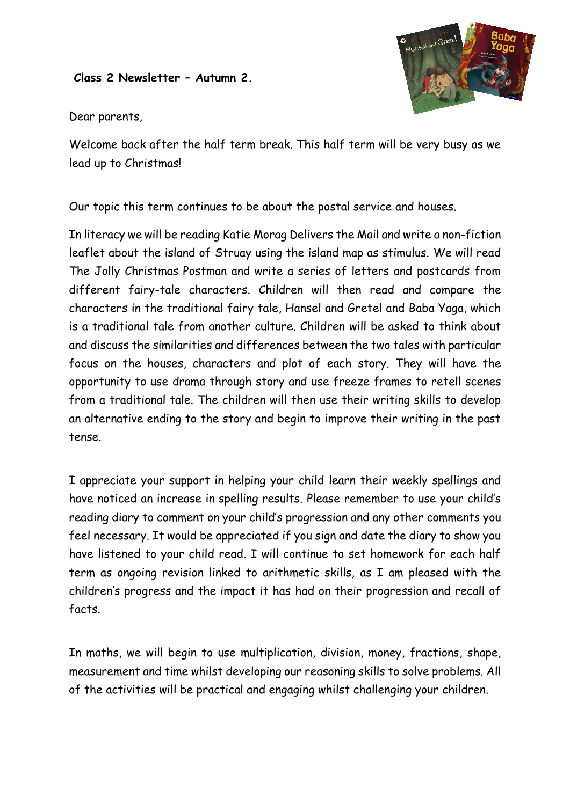## **Class 2 Newsletter – Autumn 2.**



Dear parents,

Welcome back after the half term break. This half term will be very busy as we lead up to Christmas!

Our topic this term continues to be about the postal service and houses.

In literacy we will be reading Katie Morag Delivers the Mail and write a non-fiction leaflet about the island of Struay using the island map as stimulus. We will read The Jolly Christmas Postman and write a series of letters and postcards from different fairy-tale characters. Children will then read and compare the characters in the traditional fairy tale, Hansel and Gretel and Baba Yaga, which is a traditional tale from another culture. Children will be asked to think about and discuss the similarities and differences between the two tales with particular focus on the houses, characters and plot of each story. They will have the opportunity to use drama through story and use freeze frames to retell scenes from a traditional tale. The children will then use their writing skills to develop an alternative ending to the story and begin to improve their writing in the past tense.

I appreciate your support in helping your child learn their weekly spellings and have noticed an increase in spelling results. Please remember to use your child's reading diary to comment on your child's progression and any other comments you feel necessary. It would be appreciated if you sign and date the diary to show you have listened to your child read. I will continue to set homework for each half term as ongoing revision linked to arithmetic skills, as I am pleased with the children's progress and the impact it has had on their progression and recall of facts.

In maths, we will begin to use multiplication, division, money, fractions, shape, measurement and time whilst developing our reasoning skills to solve problems. All of the activities will be practical and engaging whilst challenging your children.